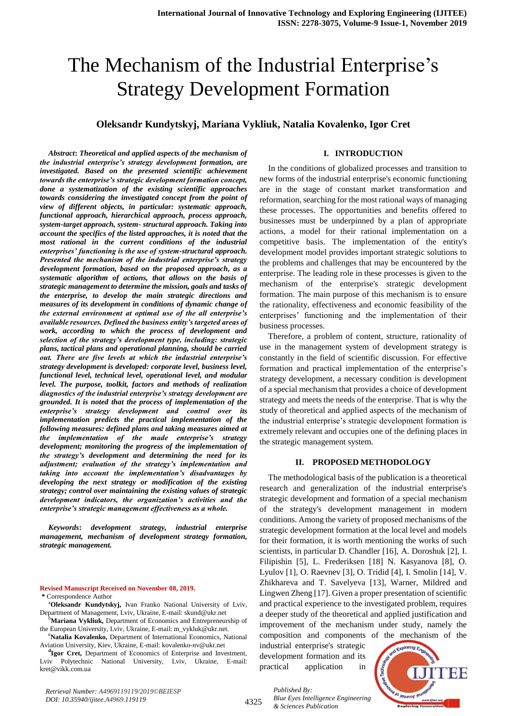# The Mechanism of the Industrial Enterprise's Strategy Development Formation

# **Oleksandr Kundytskyj, Mariana Vykliuk, Natalia Kovalenko, Igor Cret**

*Abstract***:** *Theoretical and applied aspects of the mechanism of the industrial enterprise's strategy development formation, are investigated. Based on the presented scientific achievement towards the enterprise's strategic development formation concept, done a systematization of the existing scientific approaches towards considering the investigated concept from the point of view of different objects, in particular: systematic approach, functional approach, hierarchical approach, process approach, system-target approach, system- structural approach. Taking into account the specifics of the listed approaches, it is noted that the most rational in the current conditions of the industrial enterprises' functioning is the use of system-structural approach. Presented the mechanism of the industrial enterprise's strategy development formation, based on the proposed approach, as a systematic algorithm of actions, that allows on the basis of strategic management to determine the mission, goals and tasks of the enterprise, to develop the main strategic directions and measures of its development in conditions of dynamic change of the external environment at optimal use of the all enterprise's available resources. Defined the business entity's targeted areas of work, according to which the process of development and selection of the strategy's development type, including: strategic plans, tactical plans and operational planning, should be carried out. There are five levels at which the industrial enterprise's strategy development is developed: corporate level, business level, functional level, technical level, operational level, and modular level. The purpose, toolkit, factors and methods of realization diagnostics of the industrial enterprise's strategy development are grounded. It is noted that the process of implementation of the enterprise's strategy development and control over its implementation predicts the practical implementation of the following measures: defined plans and taking measures aimed at the implementation of the made enterprise's strategy development; monitoring the progress of the implementation of the strategy's development and determining the need for its adjustment; evaluation of the strategy's implementation and taking into account the implementation's disadvantages by developing the next strategy or modification of the existing strategy; control over maintaining the existing values of strategic development indicators, the organization's activities and the enterprise's strategic management effectiveness as a whole.*

*Keywords***:** *development strategy, industrial enterprise management, mechanism of development strategy formation, strategic management.*

**Revised Manuscript Received on November 08, 2019. \*** Correspondence Author

- <sup>a</sup>**Oleksandr Kundytskyj,** Ivan Franko National University of Lviv, Department of Management, Lviv, Ukraine, E-mail: skund@ukr.net
- <sup>b</sup>**Mariana Vykliuk,** Department of Economics and Entrepreneurship of the European University, Lviv, Ukraine, E-mail: m\_vykluk@ukr.net.
- **<sup>c</sup>Natalia Kovalenko,** Department of International Economics, National Aviation University, Kiev, Ukraine, E-mail: kovalenko-nv@ukr.net

**d Igor Cret,** Department of Economics of Enterprise and Investment, Lviv Polytechnic National University, Lviv, Ukraine, E-mail: kret@vikk.com.ua

## **I. INTRODUCTION**

In the conditions of globalized processes and transition to new forms of the industrial enterprise's economic functioning are in the stage of constant market transformation and reformation, searching for the most rational ways of managing these processes. The opportunities and benefits offered to businesses must be underpinned by a plan of appropriate actions, a model for their rational implementation on a competitive basis. The implementation of the entity's development model provides important strategic solutions to the problems and challenges that may be encountered by the enterprise. The leading role in these processes is given to the mechanism of the enterprise's strategic development formation. The main purpose of this mechanism is to ensure the rationality, effectiveness and economic feasibility of the enterprises' functioning and the implementation of their business processes.

Therefore, a problem of content, structure, rationality of use in the management system of development strategy is constantly in the field of scientific discussion. For effective formation and practical implementation of the enterprise's strategy development, a necessary condition is development of a special mechanism that provides a choice of development strategy and meets the needs of the enterprise. That is why the study of theoretical and applied aspects of the mechanism of the industrial enterprise's strategic development formation is extremely relevant and occupies one of the defining places in the strategic management system.

## **II. PROPOSED METHODOLOGY**

The methodological basis of the publication is a theoretical research and generalization of the industrial enterprise's strategic development and formation of a special mechanism of the strategy's development management in modern conditions. Among the variety of proposed mechanisms of the strategic development formation at the local level and models for their formation, it is worth mentioning the works of such scientists, in particular D. Chandler [16], A. Doroshuk [2], I. Filipishin [5], L. Frederiksen [18] N. Kasyanova [8], O. Lyulov [1], O. Raevnev [3], O. Tridid [4], I. Smolin [14], V. Zhikhareva and T. Savelyeva [13], Warner, Mildred and Lingwen Zheng [17]. Given a proper presentation of scientific and practical experience to the investigated problem, requires a deeper study of the theoretical and applied justification and improvement of the mechanism under study, namely the composition and components of the mechanism of the

industrial enterprise's strategic development formation and its practical application in

*Published By:*

*& Sciences Publication* 



*Retrieval Number: A4969119119/2019©BEIESP DOI: 10.35940/ijitee.A4969.119119*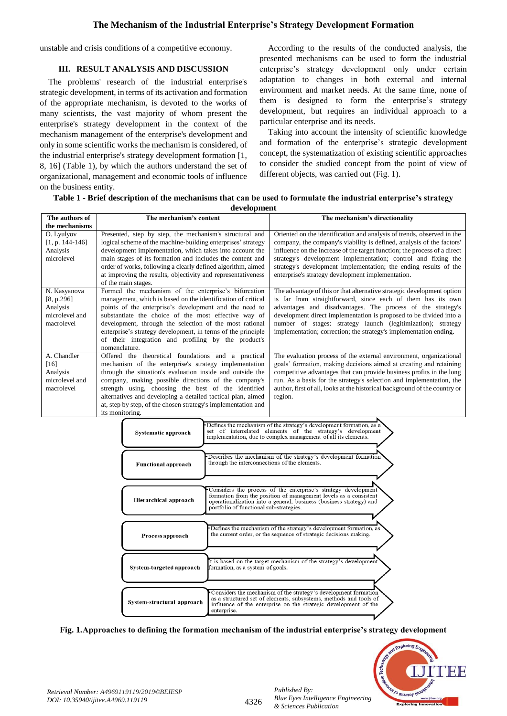## **The Mechanism of the Industrial Enterprise's Strategy Development Formation**

unstable and crisis conditions of a competitive economy.

## **III. RESULT ANALYSIS AND DISCUSSION**

The problems' research of the industrial enterprise's strategic development, in terms of its activation and formation of the appropriate mechanism, is devoted to the works of many scientists, the vast majority of whom present the enterprise's strategy development in the context of the mechanism management of the enterprise's development and only in some scientific works the mechanism is considered, of the industrial enterprise's strategy development formation [1, 8, 16] (Table 1), by which the authors understand the set of organizational, management and economic tools of influence on the business entity.

According to the results of the conducted analysis, the presented mechanisms can be used to form the industrial enterprise's strategy development only under certain adaptation to changes in both external and internal environment and market needs. At the same time, none of them is designed to form the enterprise's strategy development, but requires an individual approach to a particular enterprise and its needs.

Taking into account the intensity of scientific knowledge and formation of the enterprise's strategic development concept, the systematization of existing scientific approaches to consider the studied concept from the point of view of different objects, was carried out (Fig. 1).

|  |  |  |  |  | Table 1 - Brief description of the mechanisms that can be used to formulate the industrial enterprise's strategy |
|--|--|--|--|--|------------------------------------------------------------------------------------------------------------------|
|--|--|--|--|--|------------------------------------------------------------------------------------------------------------------|

| development                                                   |                                                                                                                   |                                                                                                                                              |  |  |
|---------------------------------------------------------------|-------------------------------------------------------------------------------------------------------------------|----------------------------------------------------------------------------------------------------------------------------------------------|--|--|
| The authors of                                                | The mechanism's content                                                                                           | The mechanism's directionality                                                                                                               |  |  |
| the mechanisms                                                |                                                                                                                   |                                                                                                                                              |  |  |
| O. Lyulyov                                                    | Presented, step by step, the mechanism's structural and                                                           | Oriented on the identification and analysis of trends, observed in the                                                                       |  |  |
| $[1, p. 144-146]$                                             | logical scheme of the machine-building enterprises' strategy                                                      | company, the company's viability is defined, analysis of the factors'                                                                        |  |  |
| Analysis                                                      | development implementation, which takes into account the                                                          | influence on the increase of the target function; the process of a direct                                                                    |  |  |
| microlevel                                                    | main stages of its formation and includes the content and                                                         | strategy's development implementation; control and fixing the                                                                                |  |  |
|                                                               | order of works, following a clearly defined algorithm, aimed                                                      | strategy's development implementation; the ending results of the                                                                             |  |  |
|                                                               | at improving the results, objectivity and representativeness                                                      | enterprise's strategy development implementation.                                                                                            |  |  |
|                                                               | of the main stages.                                                                                               |                                                                                                                                              |  |  |
| N. Kasyanova                                                  | Formed the mechanism of the enterprise's bifurcation                                                              | The advantage of this or that alternative strategic development option                                                                       |  |  |
| [8, p.296]                                                    | management, which is based on the identification of critical                                                      | is far from straightforward, since each of them has its own                                                                                  |  |  |
| Analysis                                                      | points of the enterprise's development and the need to                                                            | advantages and disadvantages. The process of the strategy's                                                                                  |  |  |
| microlevel and                                                | substantiate the choice of the most effective way of                                                              | development direct implementation is proposed to be divided into a                                                                           |  |  |
| macrolevel                                                    | development, through the selection of the most rational                                                           | number of stages: strategy launch (legitimization); strategy                                                                                 |  |  |
|                                                               | enterprise's strategy development, in terms of the principle                                                      | implementation; correction; the strategy's implementation ending.                                                                            |  |  |
|                                                               | of their integration and profiling by the product's<br>nomenclature.                                              |                                                                                                                                              |  |  |
| A. Chandler                                                   |                                                                                                                   |                                                                                                                                              |  |  |
|                                                               | Offered the theoretical foundations and a practical                                                               | The evaluation process of the external environment, organizational                                                                           |  |  |
| [16]<br>mechanism of the enterprise's strategy implementation |                                                                                                                   | goals' formation, making decisions aimed at creating and retaining                                                                           |  |  |
| Analysis<br>microlevel and                                    | through the situation's evaluation inside and outside the<br>company, making possible directions of the company's | competitive advantages that can provide business profits in the long<br>run. As a basis for the strategy's selection and implementation, the |  |  |
| macrolevel                                                    | strength using, choosing the best of the identified                                                               | author, first of all, looks at the historical background of the country or                                                                   |  |  |
|                                                               | alternatives and developing a detailed tactical plan, aimed                                                       | region.                                                                                                                                      |  |  |
|                                                               | at, step by step, of the chosen strategy's implementation and                                                     |                                                                                                                                              |  |  |
|                                                               | its monitoring.                                                                                                   |                                                                                                                                              |  |  |
|                                                               |                                                                                                                   |                                                                                                                                              |  |  |
|                                                               |                                                                                                                   | Defines the mechanism of the strategy's development formation, as a<br>set of interrelated elements of the strategy's development            |  |  |
|                                                               | <b>Systematic approach</b>                                                                                        | implementation, due to complex management of all its elements.                                                                               |  |  |
|                                                               |                                                                                                                   |                                                                                                                                              |  |  |
|                                                               |                                                                                                                   |                                                                                                                                              |  |  |

| Systematic approach        | set of interferated elements of the strategy's development<br>implementation, due to complex management of all its elements.                                                                                                                         |
|----------------------------|------------------------------------------------------------------------------------------------------------------------------------------------------------------------------------------------------------------------------------------------------|
| <b>Functional approach</b> | •Describes the mechanism of the strategy's development formation<br>through the interconnections of the elements.                                                                                                                                    |
|                            |                                                                                                                                                                                                                                                      |
| Hierarchical approach      | Considers the process of the enterprise's strategy development<br>formation from the position of management levels as a consistent<br>operationalization into a general, business (business strategy) and<br>portfolio of functional sub-strategies. |
|                            |                                                                                                                                                                                                                                                      |
| Process approach           | Defines the mechanism of the strategy's development formation, as<br>the current order, or the sequence of strategic decisions making.                                                                                                               |
|                            |                                                                                                                                                                                                                                                      |
| System-targeted approach   | It is based on the target mechanism of the strategy's development<br>formation, as a system of goals.                                                                                                                                                |
|                            |                                                                                                                                                                                                                                                      |
| System-structural approach | Considers the mechanism of the strategy's development formation<br>as a structured set of elements, subsystems, methods and tools of<br>influence of the enterprise on the strategic development of the<br>enterprise.                               |

**Fig. 1.Approaches to defining the formation mechanism of the industrial enterprise's strategy development**

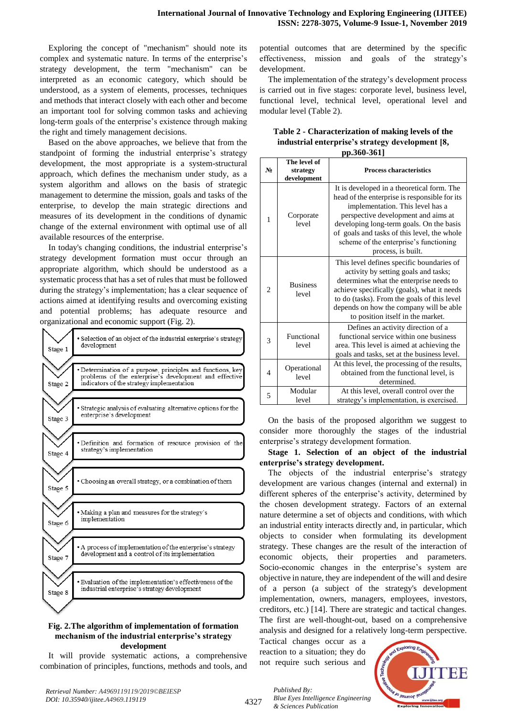Exploring the concept of "mechanism" should note its complex and systematic nature. In terms of the enterprise's strategy development, the term "mechanism" can be interpreted as an economic category, which should be understood, as a system of elements, processes, techniques and methods that interact closely with each other and become an important tool for solving common tasks and achieving long-term goals of the enterprise's existence through making the right and timely management decisions.

Based on the above approaches, we believe that from the standpoint of forming the industrial enterprise's strategy development, the most appropriate is a system-structural approach, which defines the mechanism under study, as a system algorithm and allows on the basis of strategic management to determine the mission, goals and tasks of the enterprise, to develop the main strategic directions and measures of its development in the conditions of dynamic change of the external environment with optimal use of all available resources of the enterprise.

In today's changing conditions, the industrial enterprise's strategy development formation must occur through an appropriate algorithm, which should be understood as a systematic process that has a set of rules that must be followed during the strategy's implementation; has a clear sequence of actions aimed at identifying results and overcoming existing and potential problems; has adequate resource and organizational and economic support (Fig. 2).

| Stage 1 | Selection of an object of the industrial enterprise's strategy<br>development                                         |
|---------|-----------------------------------------------------------------------------------------------------------------------|
|         |                                                                                                                       |
|         | · Determination of a purpose, principles and functions, key<br>problems of the enterprise's development and effective |
| Stage 2 | indicators of the strategy implementation                                                                             |
|         |                                                                                                                       |
|         |                                                                                                                       |
|         | Strategic analysis of evaluating alternative options for the<br>enterprise's development                              |
| Stage 3 |                                                                                                                       |
|         |                                                                                                                       |
|         |                                                                                                                       |
|         | · Definition and formation of resource provision of the                                                               |
|         | strategy's implementation                                                                                             |
| Stage 4 |                                                                                                                       |
|         |                                                                                                                       |
|         |                                                                                                                       |
|         |                                                                                                                       |
|         | • Choosing an overall strategy, or a combination of them                                                              |
| Stage 5 |                                                                                                                       |
|         |                                                                                                                       |
|         |                                                                                                                       |
|         |                                                                                                                       |
|         | Making a plan and measures for the strategy's                                                                         |
| Stage 6 | implementation                                                                                                        |
|         |                                                                                                                       |
|         |                                                                                                                       |
|         |                                                                                                                       |
|         | A process of implementation of the enterprise's strategy                                                              |
| Stage 7 | development and a control of its implementation                                                                       |
|         |                                                                                                                       |
|         |                                                                                                                       |
|         |                                                                                                                       |
|         | • Evaluation of the implementation's effectiveness of the                                                             |
|         | industrial enterprise <sup>5</sup> s strategy development                                                             |
| Stage 8 |                                                                                                                       |
|         |                                                                                                                       |
|         |                                                                                                                       |

#### **Fig. 2.The algorithm of implementation of formation mechanism of the industrial enterprise's strategy development**

It will provide systematic actions, a comprehensive combination of principles, functions, methods and tools, and

potential outcomes that are determined by the specific effectiveness, mission and goals of the strategy's development.

The implementation of the strategy's development process is carried out in five stages: corporate level, business level, functional level, technical level, operational level and modular level (Table 2).

| Table 2 - Characterization of making levels of the |
|----------------------------------------------------|
| industrial enterprise's strategy development [8,   |
| pp.360-361]                                        |

| $N_2$          | The level of<br>strategy<br>development | <b>Process characteristics</b>                                                                                                                                                                                                                                                                                                    |  |
|----------------|-----------------------------------------|-----------------------------------------------------------------------------------------------------------------------------------------------------------------------------------------------------------------------------------------------------------------------------------------------------------------------------------|--|
| $\mathbf{1}$   | Corporate<br>level                      | It is developed in a theoretical form. The<br>head of the enterprise is responsible for its<br>implementation. This level has a<br>perspective development and aims at<br>developing long-term goals. On the basis<br>of goals and tasks of this level, the whole<br>scheme of the enterprise's functioning<br>process, is built. |  |
| $\overline{c}$ | <b>Business</b><br>level                | This level defines specific boundaries of<br>activity by setting goals and tasks;<br>determines what the enterprise needs to<br>achieve specifically (goals), what it needs<br>to do (tasks). From the goals of this level<br>depends on how the company will be able<br>to position itself in the market.                        |  |
| 3              | Functional<br>level                     | Defines an activity direction of a<br>functional service within one business<br>area. This level is aimed at achieving the<br>goals and tasks, set at the business level.                                                                                                                                                         |  |
| $\overline{4}$ | Operational<br>level                    | At this level, the processing of the results,<br>obtained from the functional level, is<br>determined.                                                                                                                                                                                                                            |  |
| 5              | Modular<br>level                        | At this level, overall control over the<br>strategy's implementation, is exercised.                                                                                                                                                                                                                                               |  |

On the basis of the proposed algorithm we suggest to consider more thoroughly the stages of the industrial enterprise's strategy development formation.

**Stage 1. Selection of an object of the industrial enterprise's strategy development.**

The objects of the industrial enterprise's strategy development are various changes (internal and external) in different spheres of the enterprise's activity, determined by the chosen development strategy. Factors of an external nature determine a set of objects and conditions, with which an industrial entity interacts directly and, in particular, which objects to consider when formulating its development strategy. These changes are the result of the interaction of economic objects, their properties and parameters. Socio-economic changes in the enterprise's system are objective in nature, they are independent of the will and desire of a person (a subject of the strategy's development implementation, owners, managers, employees, investors, creditors, etc.) [14]. There are strategic and tactical changes. The first are well-thought-out, based on a comprehensive analysis and designed for a relatively long-term perspective.

Tactical changes occur as a reaction to a situation; they do not require such serious and



*Published By: Blue Eyes Intelligence Engineering & Sciences Publication*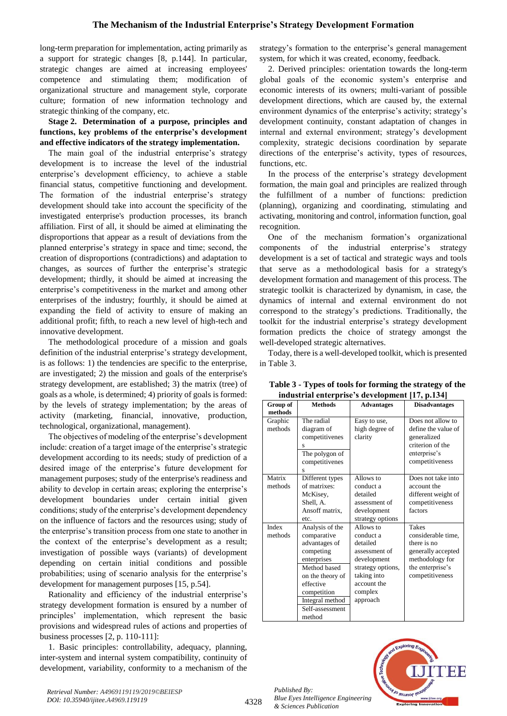long-term preparation for implementation, acting primarily as a support for strategic changes [8, p.144]. In particular, strategic changes are aimed at increasing employees' competence and stimulating them; modification of organizational structure and management style, corporate culture; formation of new information technology and strategic thinking of the company, etc.

## **Stage 2. Determination of a purpose, principles and functions, key problems of the enterprise's development and effective indicators of the strategy implementation.**

The main goal of the industrial enterprise's strategy development is to increase the level of the industrial enterprise's development efficiency, to achieve a stable financial status, competitive functioning and development. The formation of the industrial enterprise's strategy development should take into account the specificity of the investigated enterprise's production processes, its branch affiliation. First of all, it should be aimed at eliminating the disproportions that appear as a result of deviations from the planned enterprise's strategy in space and time; second, the creation of disproportions (contradictions) and adaptation to changes, as sources of further the enterprise's strategic development; thirdly, it should be aimed at increasing the enterprise's competitiveness in the market and among other enterprises of the industry; fourthly, it should be aimed at expanding the field of activity to ensure of making an additional profit; fifth, to reach a new level of high-tech and innovative development.

The methodological procedure of a mission and goals definition of the industrial enterprise's strategy development, is as follows: 1) the tendencies are specific to the enterprise, are investigated; 2) the mission and goals of the enterprise's strategy development, are established; 3) the matrix (tree) of goals as a whole, is determined; 4) priority of goals is formed: by the levels of strategy implementation; by the areas of activity (marketing, financial, innovative, production, technological, organizational, management).

The objectives of modeling of the enterprise's development include: creation of a target image of the enterprise's strategic development according to its needs; study of prediction of a desired image of the enterprise's future development for management purposes; study of the enterprise's readiness and ability to develop in certain areas; exploring the enterprise's development boundaries under certain initial given conditions; study of the enterprise's development dependency on the influence of factors and the resources using; study of the enterprise's transition process from one state to another in the context of the enterprise's development as a result; investigation of possible ways (variants) of development depending on certain initial conditions and possible probabilities; using of scenario analysis for the enterprise's development for management purposes [15, p.54].

Rationality and efficiency of the industrial enterprise's strategy development formation is ensured by a number of principles' implementation, which represent the basic provisions and widespread rules of actions and properties of business processes [2, p. 110-111]:

1. Basic principles: controllability, adequacy, planning, inter-system and internal system compatibility, continuity of development, variability, conformity to a mechanism of the

strategy's formation to the enterprise's general management system, for which it was created, economy, feedback.

2. Derived principles: orientation towards the long-term global goals of the economic system's enterprise and economic interests of its owners; multi-variant of possible development directions, which are caused by, the external environment dynamics of the enterprise's activity; strategy's development continuity, constant adaptation of changes in internal and external environment; strategy's development complexity, strategic decisions coordination by separate directions of the enterprise's activity, types of resources, functions, etc.

In the process of the enterprise's strategy development formation, the main goal and principles are realized through the fulfillment of a number of functions: prediction (planning), organizing and coordinating, stimulating and activating, monitoring and control, information function, goal recognition.

One of the mechanism formation's organizational components of the industrial enterprise's strategy development is a set of tactical and strategic ways and tools that serve as a methodological basis for a strategy's development formation and management of this process. The strategic toolkit is characterized by dynamism, in case, the dynamics of internal and external environment do not correspond to the strategy's predictions. Traditionally, the toolkit for the industrial enterprise's strategy development formation predicts the choice of strategy amongst the well-developed strategic alternatives.

Today, there is a well-developed toolkit, which is presented in Table 3.

| Group of           | <b>Methods</b>                                                                                                                                                                              | <b>Advantages</b>                                                                                                                            | <b>Disadvantages</b>                                                                                                              |
|--------------------|---------------------------------------------------------------------------------------------------------------------------------------------------------------------------------------------|----------------------------------------------------------------------------------------------------------------------------------------------|-----------------------------------------------------------------------------------------------------------------------------------|
| methods            |                                                                                                                                                                                             |                                                                                                                                              |                                                                                                                                   |
| Graphic<br>methods | The radial<br>diagram of<br>competitivenes<br>S<br>The polygon of<br>competitivenes<br>Ś                                                                                                    | Easy to use,<br>high degree of<br>clarity                                                                                                    | Does not allow to<br>define the value of<br>generalized<br>criterion of the<br>enterprise's<br>competitiveness                    |
| Matrix<br>methods  | Different types<br>of matrixes:<br>McKisey,<br>Shell, A.<br>Ansoff matrix,<br>etc.                                                                                                          | Allows to<br>conduct a<br>detailed<br>assessment of<br>development<br>strategy options                                                       | Does not take into<br>account the<br>different weight of<br>competitiveness<br>factors                                            |
| Index<br>methods   | Analysis of the<br>comparative<br>advantages of<br>competing<br>enterprises<br>Method based<br>on the theory of<br>effective<br>competition<br>Integral method<br>Self-assessment<br>method | Allows to<br>conduct a<br>detailed<br>assessment of<br>development<br>strategy options,<br>taking into<br>account the<br>complex<br>approach | <b>Takes</b><br>considerable time.<br>there is no<br>generally accepted<br>methodology for<br>the enterprise's<br>competitiveness |

**Table 3 - Types of tools for forming the strategy of the industrial enterprise's development [17, p.134]**



*Published By:*

*& Sciences Publication*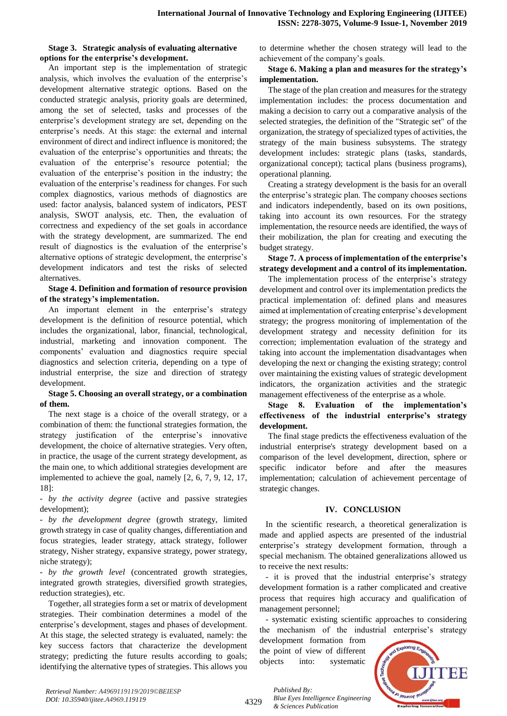#### **Stage 3. Strategic analysis of evaluating alternative options for the enterprise's development.**

An important step is the implementation of strategic analysis, which involves the evaluation of the enterprise's development alternative strategic options. Based on the conducted strategic analysis, priority goals are determined, among the set of selected, tasks and processes of the enterprise's development strategy are set, depending on the enterprise's needs. At this stage: the external and internal environment of direct and indirect influence is monitored; the evaluation of the enterprise's opportunities and threats; the evaluation of the enterprise's resource potential; the evaluation of the enterprise's position in the industry; the evaluation of the enterprise's readiness for changes. For such complex diagnostics, various methods of diagnostics are used: factor analysis, balanced system of indicators, PEST analysis, SWOT analysis, etc. Then, the evaluation of correctness and expediency of the set goals in accordance with the strategy development, are summarized. The end result of diagnostics is the evaluation of the enterprise's alternative options of strategic development, the enterprise's development indicators and test the risks of selected alternatives.

## **Stage 4. Definition and formation of resource provision of the strategy's implementation.**

An important element in the enterprise's strategy development is the definition of resource potential, which includes the organizational, labor, financial, technological, industrial, marketing and innovation component. The components' evaluation and diagnostics require special diagnostics and selection criteria, depending on a type of industrial enterprise, the size and direction of strategy development.

## **Stage 5. Choosing an overall strategy, or a combination of them.**

The next stage is a choice of the overall strategy, or a combination of them: the functional strategies formation, the strategy justification of the enterprise's innovative development, the choice of alternative strategies. Very often, in practice, the usage of the current strategy development, as the main one, to which additional strategies development are implemented to achieve the goal, namely [2, 6, 7, 9, 12, 17, 18]:

- *by the activity degree* (active and passive strategies development);

- *by the development degree* (growth strategy, limited growth strategy in case of quality changes, differentiation and focus strategies, leader strategy, attack strategy, follower strategy, Nisher strategy, expansive strategy, power strategy, niche strategy);

- *by the growth level* (concentrated growth strategies, integrated growth strategies, diversified growth strategies, reduction strategies), etc.

Together, all strategies form a set or matrix of development strategies. Their combination determines a model of the enterprise's development, stages and phases of development. At this stage, the selected strategy is evaluated, namely: the key success factors that characterize the development strategy; predicting the future results according to goals; identifying the alternative types of strategies. This allows you

to determine whether the chosen strategy will lead to the achievement of the company's goals.

## **Stage 6. Making a plan and measures for the strategy's implementation.**

The stage of the plan creation and measures for the strategy implementation includes: the process documentation and making a decision to carry out a comparative analysis of the selected strategies, the definition of the "Strategic set" of the organization, the strategy of specialized types of activities, the strategy of the main business subsystems. The strategy development includes: strategic plans (tasks, standards, organizational concept); tactical plans (business programs), operational planning.

Creating a strategy development is the basis for an overall the enterprise's strategic plan. The company chooses sections and indicators independently, based on its own positions, taking into account its own resources. For the strategy implementation, the resource needs are identified, the ways of their mobilization, the plan for creating and executing the budget strategy.

**Stage 7. A process of implementation of the enterprise's strategy development and a control of its implementation.**

The implementation process of the enterprise's strategy development and control over its implementation predicts the practical implementation of: defined plans and measures aimed at implementation of creating enterprise's development strategy; the progress monitoring of implementation of the development strategy and necessity definition for its correction; implementation evaluation of the strategy and taking into account the implementation disadvantages when developing the next or changing the existing strategy; control over maintaining the existing values of strategic development indicators, the organization activities and the strategic management effectiveness of the enterprise as a whole.

**Stage 8. Evaluation of the implementation's effectiveness of the industrial enterprise's strategy development.**

The final stage predicts the effectiveness evaluation of the industrial enterprise's strategy development based on a comparison of the level development, direction, sphere or specific indicator before and after the measures implementation; calculation of achievement percentage of strategic changes.

## **IV. CONCLUSION**

In the scientific research, a theoretical generalization is made and applied aspects are presented of the industrial enterprise's strategy development formation, through a special mechanism. The obtained generalizations allowed us to receive the next results:

- it is proved that the industrial enterprise's strategy development formation is a rather complicated and creative process that requires high accuracy and qualification of management personnel;

- systematic existing scientific approaches to considering the mechanism of the industrial enterprise's strategy

development formation from the point of view of different objects into: systematic



4329

*Published By: Blue Eyes Intelligence Engineering & Sciences Publication*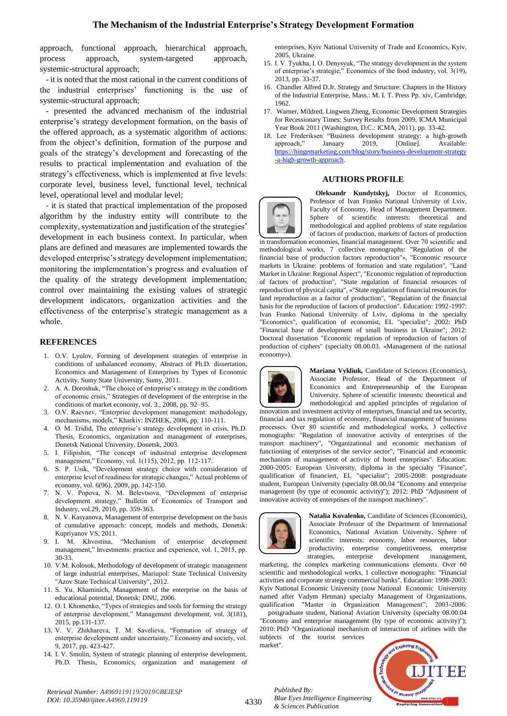approach, functional approach, hierarchical approach, process approach, system-targeted approach, systemic-structural approach;

- it is noted that the most rational in the current conditions of the industrial enterprises' functioning is the use of systemic-structural approach;

- presented the advanced mechanism of the industrial enterprise's strategy development formation, on the basis of the offered approach, as a systematic algorithm of actions: from the object's definition, formation of the purpose and goals of the strategy's development and forecasting of the results to practical implementation and evaluation of the strategy's effectiveness, which is implemented at five levels: corporate level, business level, functional level, technical level, operational level and modular level;

- it is stated that practical implementation of the proposed algorithm by the industry entity will contribute to the complexity, systematization and justification of the strategies' development in each business context. In particular, when plans are defined and measures are implemented towards the developed enterprise's strategy development implementation; monitoring the implementation's progress and evaluation of the quality of the strategy development implementation; control over maintaining the existing values of strategic development indicators, organization activities and the effectiveness of the enterprise's strategic management as a whole.

## **REFERENCES**

- 1. O.V. Lyulov, Forming of development strategies of enterprise in conditions of unbalanced economy, Abstract of Ph.D. dissertation, Economics and Management of Enterprises by Types of Economic Activity, Sumy State University, Sumy, 2011.
- 2. A. A. Doroshuk, "The choice of enterprise's strategy in the conditions of economic crisis," Strategies of development of the enterprise in the conditions of market economy, vol. 3., 2008, pp. 92–95.
- 3. O.V. Raevnev, "Enterprise development management: methodology, mechanisms, models," Kharkiv: INZHEK, 2006, pp. 110-111.
- 4. O. M. Tridid, The enterprise's strategy development in crisis, Ph.D. Thesis, Economics, organization and management of enterprises, Donetsk National University, Donetsk, 2003.
- 5. I. Filipishin, "The concept of industrial enterprise development management," Economy, vol. 1(115), 2012, pp. 112-117.
- 6. S. P. Usik, "Development strategy choice with consideration of enterprise level of readiness for strategic changes," Actual problems of economy, vol. 6(96), 2009, pp. 142-150.
- 7. N. V. Popova, N. M. Belevtsova, "Development of enterprise development strategy," Bulletin of Economics of Transport and Industry, vol.29, 2010, pp. 359-363.
- 8. N. V. Kasyanova, Management of enterprise development on the basis of cumulative approach: concept, models and methods, Donetsk: Kupriyanov VS, 2011.
- 9. I. M. Khvostina, "Mechanism of enterprise development management," Investments: practice and experience, vol. 1, 2015, pp. 30-33.
- 10. V.M. Kolosok, Methodology of development of strategic management of large industrial enterprises, Mariupol: State Technical University 'Azov State Technical University", 2012.
- 11. S. Yu. Khaminich, Management of the enterprise on the basis of educational potential, Donetsk: DNU, 2006.
- 12. O. I. Khomenko, "Types of strategies and tools for forming the strategy of enterprise development," Management development, vol. 3(181), 2015, pp.131-137.
- 13. V. V. Zhikhareva, T. M. Savelieva, "Formation of strategy of enterprise development under uncertainty," Economy and society, vol. 9, 2017, pp. 423-427.
- 14. I. V. Smolin, System of strategic planning of enterprise development, Ph.D. Thesis, Economics, organization and management of

enterprises, Kyiv National University of Trade and Economics, Kyiv, 2005, Ukraine.

- 15. I. V. Tyukha, I. O. Denysyuk, "The strategy development in the system of enterprise's strategie," Economics of the food industry, vol. 3(19), 2013, pp. 33-37.
- 16. Chandler Alfred D.Jr. Strategy and Structure: Chapters in the History of the Industrial Enterprise, Mass.: M. I. T. Press Pp. xiv, Cambridge, 1962.
- 17. Warner, Mildred, Lingwen Zheng, Economic Development Strategies for Recessionary Times: Survey Results from 2009, ICMA Municipal Year Book 2011 (Washington, D.C.: ICMA, 2011), pp. 33-42.
- 18. Lee Frederiksen "Business development strategy: a high-growth approach," January 2019, [Online]. Available: [https://hingemarketing.com/blog/story/business-development-strategy](https://hingemarketing.com/blog/story/business-development-strategy-a-high-growth-approach) [-a-high-growth-approach.](https://hingemarketing.com/blog/story/business-development-strategy-a-high-growth-approach)

## **AUTHORS PROFILE**



**Oleksandr Kundytskyj,** Doctor of Economics, Professor of Ivan Franko National University of Lviv, Faculty of Economy, Head of Management Department. Sphere of scientific interests: theoretical and methodological and applied problems of state regulation of factors of production, markets of factors of production

in transformation economies, financial management. Оver 70 scientific and methodological works, 7 collective monographs: "Regulation of the financial base of production factors reproduction"», "Economic resource markets in Ukraine: problems of formation and state regulation", "Land Market in Ukraine: Regional Aspect", "Economic regulation of reproduction of factors of production", "State regulation of financial resources of reproduction of physical capita", «"State regulation of financial resources for land reproduction as a factor of production", "Regulation of the financial basis for the reproduction of factors of production". Education: 1992-1997: Ivan Franko National University of Lviv, diploma in the specialty "Economics", qualification of economist, EL "specialist"; 2002: PhD "Financial base of development of small business in Ukraine"; 2012: Doctoral dissertation "Economic regulation of reproduction of factors of production of ciphers" (specialty 08.00.03. «Management of the national economy»).



**Mariana Vykliuk,** Candidate of Sciences (Economics), Associate Professor, Head of the Department of Economics and Entrepreneurship of the European University. Sphere of scientific interests: theoretical and methodological and applied principles of regulation of

innovation and investment activity of enterprises, financial and tax security, financial and tax regulation of economy, financial management of business processes. Оver 80 scientific and methodological works, 3 collective monographs: "Regulation of innovative activity of enterprises of the transport machinery", "Organizational and economic mechanism of functioning of enterprises of the service sector", "Financial and economic mechanism of management of activity of hotel enterprises". Education: 2000-2005: European University, diploma in the specialty "Finance", qualification of financiert, EL "specialist"; 2005-2008: postgraduate student, European University (specialty 08.00.04 "Economy and enterprise management (by type of economic activity)"); 2012: PhD "Adjusment of innovative activity of enterprises of the transport machinery".



*Published By:*

*& Sciences Publication* 

*Blue Eyes Intelligence Engineering* 

**Natalia Kovalenko,** Candidate of Sciences (Economics), Associate Professor of the Department of International Economics, National Aviation University. Sphere of scientific interests: economy, labor resources, labor productivity, enterprise competitiveness, enterprise strategies, enterprise development management,

marketing, the complex marketing communications elements. Оver 60 scientific and methodological works, 1 collective monographs: "Financial activities and corporate strategy commercial banks". Education: 1998-2003: Kyiv National Economic University (now National Economic University named after Vadym Hetman) specialty Management of Organizations, qualification "Master in Organization Management"; 2003-2006:

postgraduate student, National Aviation University (specialty 08.00.04 "Economy and enterprise management (by type of economic activity)"); 2010: PhD "Organizational mechanism of interaction of airlines with the subjects of the tourist services market".